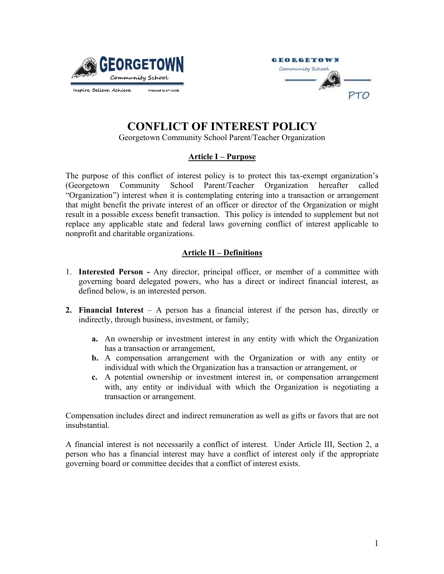

**GEORGETOWN** Community School PTO

# **CONFLICT OF INTEREST POLICY**

Georgetown Community School Parent/Teacher Organization

# **Article I – Purpose**

The purpose of this conflict of interest policy is to protect this tax-exempt organization's (Georgetown Community School Parent/Teacher Organization hereafter called "Organization") interest when it is contemplating entering into a transaction or arrangement that might benefit the private interest of an officer or director of the Organization or might result in a possible excess benefit transaction. This policy is intended to supplement but not replace any applicable state and federal laws governing conflict of interest applicable to nonprofit and charitable organizations.

# **Article II – Definitions**

- 1. **Interested Person -** Any director, principal officer, or member of a committee with governing board delegated powers, who has a direct or indirect financial interest, as defined below, is an interested person.
- **2. Financial Interest** A person has a financial interest if the person has, directly or indirectly, through business, investment, or family;
	- **a.** An ownership or investment interest in any entity with which the Organization has a transaction or arrangement,
	- **b.** A compensation arrangement with the Organization or with any entity or individual with which the Organization has a transaction or arrangement, or
	- **c.** A potential ownership or investment interest in, or compensation arrangement with, any entity or individual with which the Organization is negotiating a transaction or arrangement.

Compensation includes direct and indirect remuneration as well as gifts or favors that are not insubstantial.

A financial interest is not necessarily a conflict of interest. Under Article III, Section 2, a person who has a financial interest may have a conflict of interest only if the appropriate governing board or committee decides that a conflict of interest exists.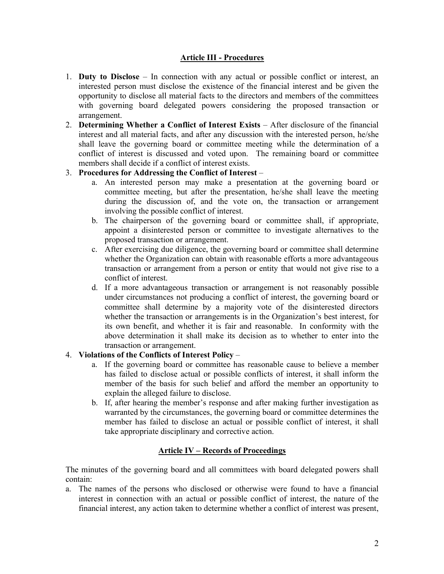# **Article III - Procedures**

- 1. **Duty to Disclose** In connection with any actual or possible conflict or interest, an interested person must disclose the existence of the financial interest and be given the opportunity to disclose all material facts to the directors and members of the committees with governing board delegated powers considering the proposed transaction or arrangement.
- 2. **Determining Whether a Conflict of Interest Exists** After disclosure of the financial interest and all material facts, and after any discussion with the interested person, he/she shall leave the governing board or committee meeting while the determination of a conflict of interest is discussed and voted upon. The remaining board or committee members shall decide if a conflict of interest exists.

## 3. **Procedures for Addressing the Conflict of Interest** –

- a. An interested person may make a presentation at the governing board or committee meeting, but after the presentation, he/she shall leave the meeting during the discussion of, and the vote on, the transaction or arrangement involving the possible conflict of interest.
- b. The chairperson of the governing board or committee shall, if appropriate, appoint a disinterested person or committee to investigate alternatives to the proposed transaction or arrangement.
- c. After exercising due diligence, the governing board or committee shall determine whether the Organization can obtain with reasonable efforts a more advantageous transaction or arrangement from a person or entity that would not give rise to a conflict of interest.
- d. If a more advantageous transaction or arrangement is not reasonably possible under circumstances not producing a conflict of interest, the governing board or committee shall determine by a majority vote of the disinterested directors whether the transaction or arrangements is in the Organization's best interest, for its own benefit, and whether it is fair and reasonable. In conformity with the above determination it shall make its decision as to whether to enter into the transaction or arrangement.

# 4. **Violations of the Conflicts of Interest Policy** –

- a. If the governing board or committee has reasonable cause to believe a member has failed to disclose actual or possible conflicts of interest, it shall inform the member of the basis for such belief and afford the member an opportunity to explain the alleged failure to disclose.
- b. If, after hearing the member's response and after making further investigation as warranted by the circumstances, the governing board or committee determines the member has failed to disclose an actual or possible conflict of interest, it shall take appropriate disciplinary and corrective action.

# **Article IV – Records of Proceedings**

The minutes of the governing board and all committees with board delegated powers shall contain:

a. The names of the persons who disclosed or otherwise were found to have a financial interest in connection with an actual or possible conflict of interest, the nature of the financial interest, any action taken to determine whether a conflict of interest was present,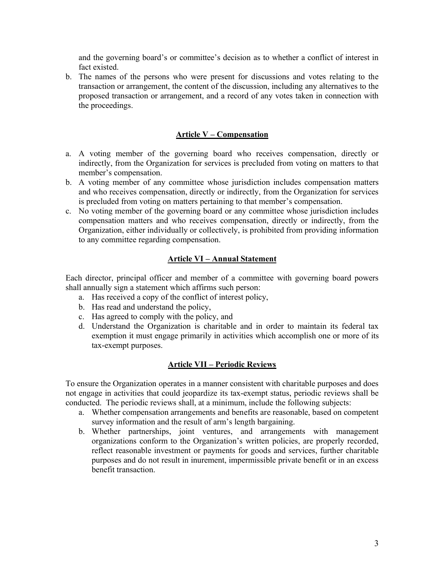and the governing board's or committee's decision as to whether a conflict of interest in fact existed.

b. The names of the persons who were present for discussions and votes relating to the transaction or arrangement, the content of the discussion, including any alternatives to the proposed transaction or arrangement, and a record of any votes taken in connection with the proceedings.

#### **Article V – Compensation**

- a. A voting member of the governing board who receives compensation, directly or indirectly, from the Organization for services is precluded from voting on matters to that member's compensation.
- b. A voting member of any committee whose jurisdiction includes compensation matters and who receives compensation, directly or indirectly, from the Organization for services is precluded from voting on matters pertaining to that member's compensation.
- c. No voting member of the governing board or any committee whose jurisdiction includes compensation matters and who receives compensation, directly or indirectly, from the Organization, either individually or collectively, is prohibited from providing information to any committee regarding compensation.

## **Article VI – Annual Statement**

Each director, principal officer and member of a committee with governing board powers shall annually sign a statement which affirms such person:

- a. Has received a copy of the conflict of interest policy,
- b. Has read and understand the policy,
- c. Has agreed to comply with the policy, and
- d. Understand the Organization is charitable and in order to maintain its federal tax exemption it must engage primarily in activities which accomplish one or more of its tax-exempt purposes.

## **Article VII – Periodic Reviews**

To ensure the Organization operates in a manner consistent with charitable purposes and does not engage in activities that could jeopardize its tax-exempt status, periodic reviews shall be conducted. The periodic reviews shall, at a minimum, include the following subjects:

- a. Whether compensation arrangements and benefits are reasonable, based on competent survey information and the result of arm's length bargaining.
- b. Whether partnerships, joint ventures, and arrangements with management organizations conform to the Organization's written policies, are properly recorded, reflect reasonable investment or payments for goods and services, further charitable purposes and do not result in inurement, impermissible private benefit or in an excess benefit transaction.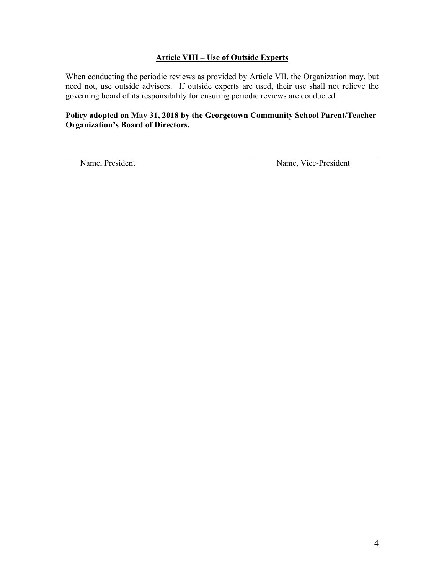# **Article VIII – Use of Outside Experts**

When conducting the periodic reviews as provided by Article VII, the Organization may, but need not, use outside advisors. If outside experts are used, their use shall not relieve the governing board of its responsibility for ensuring periodic reviews are conducted.

## **Policy adopted on May 31, 2018 by the Georgetown Community School Parent/Teacher Organization's Board of Directors.**

Name, President Name, Vice-President